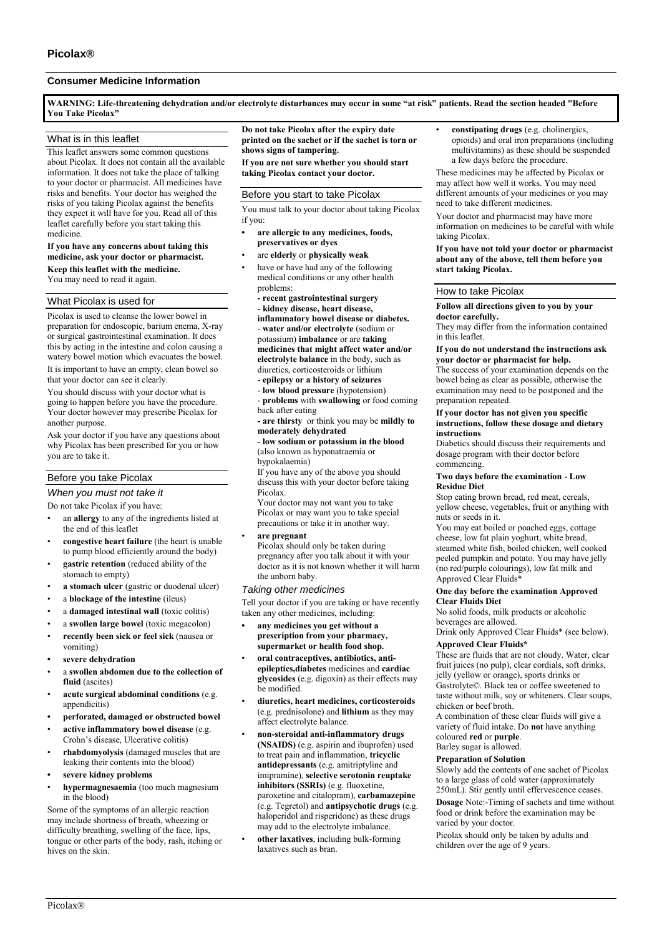# **Consumer Medicine Information**

**WARNING: Life-threatening dehydration and/or electrolyte disturbances may occur in some "at risk" patients. Read the section headed "Before You Take Picolax"**

# What is in this leaflet

This leaflet answers some common questions about Picolax. It does not contain all the available information. It does not take the place of talking to your doctor or pharmacist. All medicines have risks and benefits. Your doctor has weighed the risks of you taking Picolax against the benefits they expect it will have for you. Read all of this leaflet carefully before you start taking this medicine.

# **If you have any concerns about taking this medicine, ask your doctor or pharmacist. Keep this leaflet with the medicine.**

You may need to read it again.

# What Picolax is used for

Picolax is used to cleanse the lower bowel in preparation for endoscopic, barium enema, X-ray or surgical gastrointestinal examination. It does this by acting in the intestine and colon causing a watery bowel motion which evacuates the bowel. It is important to have an empty, clean bowel so that your doctor can see it clearly.

You should discuss with your doctor what is going to happen before you have the procedure. Your doctor however may prescribe Picolax for another purpose.

Ask your doctor if you have any questions about why Picolax has been prescribed for you or how you are to take it.

# Before you take Picolax

# *When you must not take it*

Do not take Picolax if you have:

- an **allergy** to any of the ingredients listed at the end of this leaflet
- **congestive heart failure** (the heart is unable to pump blood efficiently around the body)
- **gastric retention** (reduced ability of the stomach to empty)
- **a stomach ulcer** (gastric or duodenal ulcer)
- a **blockage of the intestine** (ileus)
- a **damaged intestinal wall** (toxic colitis)
- a **swollen large bowel** (toxic megacolon)
- **recently been sick or feel sick** (nausea or vomiting)
- **• severe dehydration**
- a **swollen abdomen due to the collection of fluid** (ascites)
- **acute surgical abdominal conditions** (e.g. appendicitis)
- **• perforated, damaged or obstructed bowel**
- **active inflammatory bowel disease** (e.g. Crohn's disease, Ulcerative colitis)
- **rhabdomyolysis** (damaged muscles that are leaking their contents into the blood)
- **• severe kidney problems**
- **hypermagnesaemia** (too much magnesium in the blood)

Some of the symptoms of an allergic reaction may include shortness of breath, wheezing or difficulty breathing, swelling of the face, lips, tongue or other parts of the body, rash, itching or hives on the skin.

**Do not take Picolax after the expiry date printed on the sachet or if the sachet is torn or shows signs of tampering. If you are not sure whether you should start** 

**taking Picolax contact your doctor.**

# Before you start to take Picolax

You must talk to your doctor about taking Picolax if you:

- **• are allergic to any medicines, foods, preservatives or dyes**
- are **elderly** or **physically weak**
- have or have had any of the following medical conditions or any other health problems:
- **- recent gastrointestinal surgery**

**- kidney disease, heart disease, inflammatory bowel disease or diabetes.** - **water and/or electrolyte** (sodium or potassium) **imbalance** or are **taking medicines that might affect water and/or electrolyte balance** in the body, such as diuretics, corticosteroids or lithium

- **- epilepsy or a history of seizures**
- **low blood pressure** (hypotension)

- **problems** with **swallowing** or food coming back after eating

- **- are thirsty** or think you may be **mildly to moderately dehydrated**
- **- low sodium or potassium in the blood**  (also known as hyponatraemia or hypokalaemia)

If you have any of the above you should discuss this with your doctor before taking Picolax.

Your doctor may not want you to take Picolax or may want you to take special precautions or take it in another way.

• **are pregnant**

Picolax should only be taken during pregnancy after you talk about it with your doctor as it is not known whether it will harm the unborn baby.

# *Taking other medicines*

Tell your doctor if you are taking or have recently taken any other medicines, including:

- **• any medicines you get without a prescription from your pharmacy, supermarket or health food shop.**
- **oral contraceptives, antibiotics, antiepileptics,diabetes** medicines and **cardiac glycosides** (e.g. digoxin) as their effects may be modified.
- **diuretics, heart medicines, corticosteroids** (e.g. prednisolone) and **lithium** as they may affect electrolyte balance.
- **non-steroidal anti-inflammatory drugs (NSAIDS)** (e.g. aspirin and ibuprofen) used to treat pain and inflammation, **tricyclic antidepressants** (e.g. amitriptyline and imipramine), **selective serotonin reuptake inhibitors (SSRIs)** (e.g. fluoxetine, paroxetine and citalopram), **carbamazepine** (e.g. Tegretol) and **antipsychotic drugs** (e.g. haloperidol and risperidone) as these drugs may add to the electrolyte imbalance.
- **other laxatives**, including bulk-forming laxatives such as bran.

• **constipating drugs** (e.g. cholinergics, opioids) and oral iron preparations (including multivitamins) as these should be suspended a few days before the procedure.

These medicines may be affected by Picolax or may affect how well it works. You may need different amounts of your medicines or you may need to take different medicines.

Your doctor and pharmacist may have more information on medicines to be careful with while taking Picolax.

#### **If you have not told your doctor or pharmacist about any of the above, tell them before you start taking Picolax.**

## How to take Picolax

**Follow all directions given to you by your doctor carefully.**

They may differ from the information contained in this leaflet.

**If you do not understand the instructions ask your doctor or pharmacist for help.**

The success of your examination depends on the bowel being as clear as possible, otherwise the examination may need to be postponed and the preparation repeated.

## **If your doctor has not given you specific instructions, follow these dosage and dietary instructions**

Diabetics should discuss their requirements and dosage program with their doctor before commencing.

#### **Two days before the examination - Low Residue Diet**

Stop eating brown bread, red meat, cereals, yellow cheese, vegetables, fruit or anything with nuts or seeds in it.

You may eat boiled or poached eggs, cottage cheese, low fat plain yoghurt, white bread, steamed white fish, boiled chicken, well cooked peeled pumpkin and potato. You may have jelly (no red/purple colourings), low fat milk and Approved Clear Fluids\*

# **One day before the examination Approved Clear Fluids Diet**

No solid foods, milk products or alcoholic beverages are allowed.

Drink only Approved Clear Fluids\* (see below). **Approved Clear Fluids\***

These are fluids that are not cloudy. Water, clear fruit juices (no pulp), clear cordials, soft drinks, jelly (yellow or orange), sports drinks or Gastrolyte©. Black tea or coffee sweetened to taste without milk, soy or whiteners. Clear soups, chicken or beef broth.

A combination of these clear fluids will give a variety of fluid intake. Do **not** have anything coloured **red** or **purple**.

Barley sugar is allowed.

# **Preparation of Solution**

Slowly add the contents of one sachet of Picolax to a large glass of cold water (approximately 250mL). Stir gently until effervescence ceases.

**Dosage** Note:-Timing of sachets and time without food or drink before the examination may be varied by your doctor.

Picolax should only be taken by adults and children over the age of 9 years.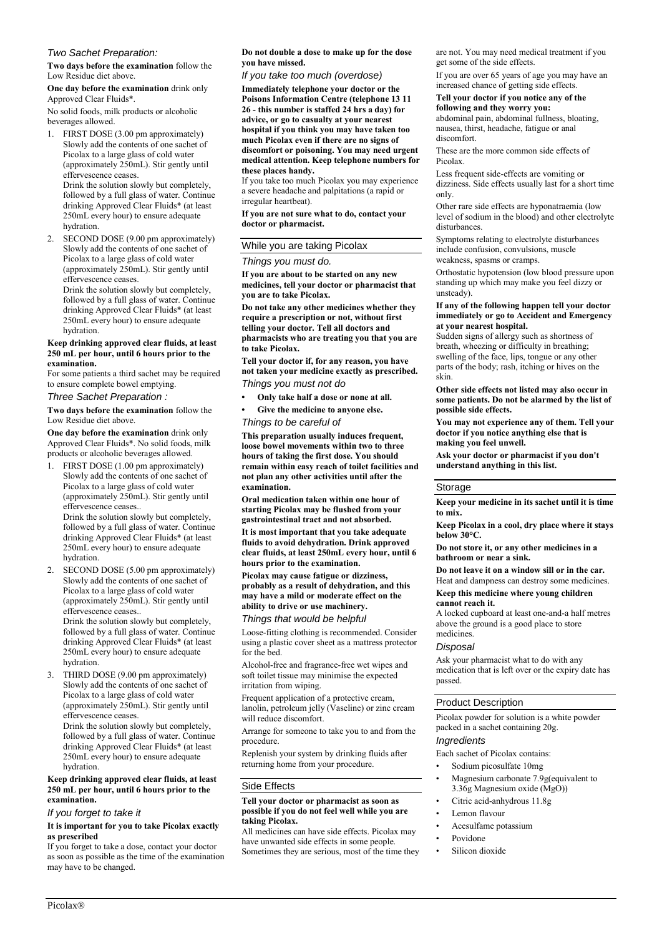# *Two Sachet Preparation:*

**Two days before the examination** follow the Low Residue diet above.

**One day before the examination** drink only Approved Clear Fluids\*.

No solid foods, milk products or alcoholic beverages allowed.

- 1. FIRST DOSE (3.00 pm approximately) Slowly add the contents of one sachet of Picolax to a large glass of cold water (approximately 250mL). Stir gently until effervescence ceases. Drink the solution slowly but completely, followed by a full glass of water. Continue drinking Approved Clear Fluids\* (at least 250mL every hour) to ensure adequate hydration.
- 2. SECOND DOSE (9.00 pm approximately) Slowly add the contents of one sachet of Picolax to a large glass of cold water (approximately 250mL). Stir gently until effervescence ceases. Drink the solution slowly but completely, followed by a full glass of water. Continue

drinking Approved Clear Fluids\* (at least 250mL every hour) to ensure adequate hydration.

#### **Keep drinking approved clear fluids, at least 250 mL per hour, until 6 hours prior to the examination.**

For some patients a third sachet may be required to ensure complete bowel emptying.

*Three Sachet Preparation :*

**Two days before the examination** follow the Low Residue diet above.

**One day before the examination** drink only Approved Clear Fluids\*. No solid foods, milk products or alcoholic beverages allowed.

1. FIRST DOSE (1.00 pm approximately) Slowly add the contents of one sachet of Picolax to a large glass of cold water (approximately 250mL). Stir gently until effervescence ceases.. Drink the solution slowly but completely, followed by a full glass of water. Continue

drinking Approved Clear Fluids\* (at least 250mL every hour) to ensure adequate hydration.

2. SECOND DOSE (5.00 pm approximately) Slowly add the contents of one sachet of Picolax to a large glass of cold water (approximately 250mL). Stir gently until effervescence ceases.. Drink the solution slowly but completely, followed by a full glass of water. Continue

drinking Approved Clear Fluids\* (at least 250mL every hour) to ensure adequate hydration.

3. THIRD DOSE (9.00 pm approximately) Slowly add the contents of one sachet of Picolax to a large glass of cold water (approximately 250mL). Stir gently until effervescence ceases.

Drink the solution slowly but completely, followed by a full glass of water. Continue drinking Approved Clear Fluids\* (at least 250mL every hour) to ensure adequate hydration.

#### **Keep drinking approved clear fluids, at least 250 mL per hour, until 6 hours prior to the examination.**

# *If you forget to take it*

#### **It is important for you to take Picolax exactly as prescribed**

If you forget to take a dose, contact your doctor as soon as possible as the time of the examination may have to be changed.

**Do not double a dose to make up for the dose you have missed.**

*If you take too much (overdose)*

**Immediately telephone your doctor or the Poisons Information Centre (telephone 13 11 26 - this number is staffed 24 hrs a day) for advice, or go to casualty at your nearest hospital if you think you may have taken too much Picolax even if there are no signs of discomfort or poisoning. You may need urgent medical attention. Keep telephone numbers for these places handy.**

If you take too much Picolax you may experience a severe headache and palpitations (a rapid or irregular heartbeat).

**If you are not sure what to do, contact your doctor or pharmacist.**

## While you are taking Picolax

#### *Things you must do.*

**If you are about to be started on any new medicines, tell your doctor or pharmacist that you are to take Picolax.**

**Do not take any other medicines whether they require a prescription or not, without first telling your doctor. Tell all doctors and pharmacists who are treating you that you are to take Picolax.**

**Tell your doctor if, for any reason, you have not taken your medicine exactly as prescribed.** *Things you must not do*

**• Only take half a dose or none at all.**

**• Give the medicine to anyone else.**

# *Things to be careful of*

**This preparation usually induces frequent, loose bowel movements within two to three hours of taking the first dose. You should remain within easy reach of toilet facilities and not plan any other activities until after the examination.**

**Oral medication taken within one hour of starting Picolax may be flushed from your gastrointestinal tract and not absorbed.**

**It is most important that you take adequate fluids to avoid dehydration. Drink approved clear fluids, at least 250mL every hour, until 6 hours prior to the examination.**

# **Picolax may cause fatigue or dizziness, probably as a result of dehydration, and this may have a mild or moderate effect on the ability to drive or use machinery.**

# *Things that would be helpful*

Loose-fitting clothing is recommended. Consider using a plastic cover sheet as a mattress protector for the bed.

Alcohol-free and fragrance-free wet wipes and soft toilet tissue may minimise the expected irritation from wiping.

Frequent application of a protective cream, lanolin, petroleum jelly (Vaseline) or zinc cream will reduce discomfort.

Arrange for someone to take you to and from the procedure.

Replenish your system by drinking fluids after returning home from your procedure.

## Side Effects

#### **Tell your doctor or pharmacist as soon as possible if you do not feel well while you are taking Picolax.**

All medicines can have side effects. Picolax may have unwanted side effects in some people. Sometimes they are serious, most of the time they are not. You may need medical treatment if you get some of the side effects.

If you are over 65 years of age you may have an increased chance of getting side effects.

### **Tell your doctor if you notice any of the following and they worry you:**

abdominal pain, abdominal fullness, bloating, nausea, thirst, headache, fatigue or anal discomfort.

These are the more common side effects of Picolax.

Less frequent side-effects are vomiting or dizziness. Side effects usually last for a short time only.

Other rare side effects are hyponatraemia (low level of sodium in the blood) and other electrolyte disturbances.

Symptoms relating to electrolyte disturbances include confusion, convulsions, muscle weakness, spasms or cramps.

Orthostatic hypotension (low blood pressure upon standing up which may make you feel dizzy or unsteady).

#### **If any of the following happen tell your doctor immediately or go to Accident and Emergency at your nearest hospital.**

Sudden signs of allergy such as shortness of breath, wheezing or difficulty in breathing; swelling of the face, lips, tongue or any other parts of the body; rash, itching or hives on the skin.

**Other side effects not listed may also occur in some patients. Do not be alarmed by the list of possible side effects.**

**You may not experience any of them. Tell your doctor if you notice anything else that is making you feel unwell.**

**Ask your doctor or pharmacist if you don't understand anything in this list.**

## Storage

**Keep your medicine in its sachet until it is time to mix.**

**Keep Picolax in a cool, dry place where it stays below 30°C.**

**Do not store it, or any other medicines in a bathroom or near a sink.**

**Do not leave it on a window sill or in the car.** Heat and dampness can destroy some medicines.

**Keep this medicine where young children cannot reach it.**

A locked cupboard at least one-and-a half metres above the ground is a good place to store medicines.

## *Disposal*

Ask your pharmacist what to do with any medication that is left over or the expiry date has passed.

# Product Description

Picolax powder for solution is a white powder packed in a sachet containing 20g.

# *Ingredients*

Each sachet of Picolax contains:

- Sodium picosulfate 10mg
- Magnesium carbonate 7.9g(equivalent to 3.36g Magnesium oxide (MgO))
- Citric acid-anhydrous 11.8g
- Lemon flavour
- Acesulfame potassium
- Povidone
- Silicon dioxide